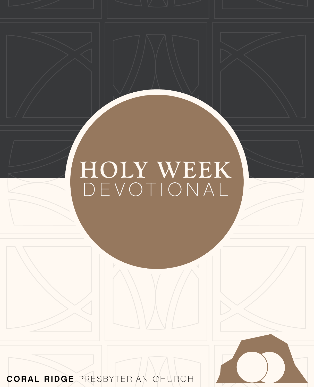# **HOLY WEEK** DEVOTIONAL

CORAL RIDGE PRESBYTERIAN CHURCH

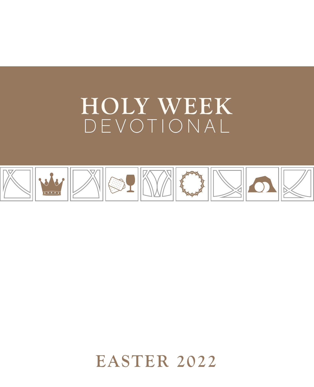# **HOLY WEEK** DEVOTIONAL



**EASTER 2022**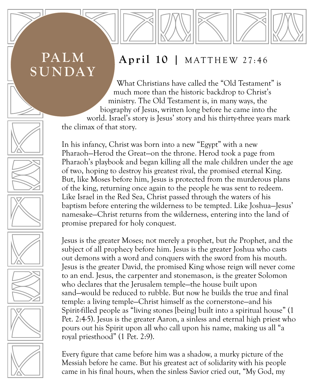# **PALM SUNDAY**

#### **April 10 |** MATTHEW 27:46

What Christians have called the "Old Testament" is much more than the historic backdrop to Christ's ministry. The Old Testament is, in many ways, the biography of Jesus, written long before he came into the world. Israel's story is Jesus' story and his thirty-three years mark the climax of that story.

In his infancy, Christ was born into a new "Egypt" with a new Pharaoh—Herod the Great—on the throne. Herod took a page from Pharaoh's playbook and began killing all the male children under the age of two, hoping to destroy his greatest rival, the promised eternal King. But, like Moses before him, Jesus is protected from the murderous plans of the king, returning once again to the people he was sent to redeem. Like Israel in the Red Sea, Christ passed through the waters of his baptism before entering the wilderness to be tempted. Like Joshua—Jesus' namesake—Christ returns from the wilderness, entering into the land of promise prepared for holy conquest.

Jesus is the greater Moses; not merely a prophet, but *the* Prophet, and the subject of all prophecy before him. Jesus is the greater Joshua who casts out demons with a word and conquers with the sword from his mouth. Jesus is the greater David, the promised King whose reign will never come to an end. Jesus, the carpenter and stonemason, is the greater Solomon who declares that the Jerusalem temple—the house built upon sand—would be reduced to rubble. But now he builds the true and final temple: a living temple—Christ himself as the cornerstone—and his Spirit-filled people as "living stones [being] built into a spiritual house" (1 Pet. 2:4-5). Jesus is the greater Aaron, a sinless and eternal high priest who pours out his Spirit upon all who call upon his name, making us all "a royal priesthood" (1 Pet. 2:9).

Every figure that came before him was a shadow, a murky picture of the Messiah before he came. But his greatest act of solidarity with his people came in his final hours, when the sinless Savior cried out, "My God, my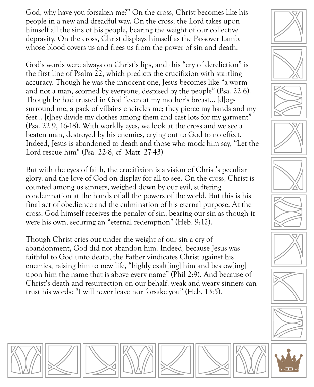God, why have you forsaken me?" On the cross, Christ becomes like his people in a new and dreadful way. On the cross, the Lord takes upon himself all the sins of his people, bearing the weight of our collective depravity. On the cross, Christ displays himself as the Passover Lamb, whose blood covers us and frees us from the power of sin and death.

God's words were always on Christ's lips, and this "cry of dereliction" is the first line of Psalm 22, which predicts the crucifixion with startling accuracy. Though he was the innocent one, Jesus becomes like "a worm and not a man, scorned by everyone, despised by the people" (Psa. 22:6). Though he had trusted in God "even at my mother's breast… [d]ogs surround me, a pack of villains encircles me; they pierce my hands and my feet… [t]hey divide my clothes among them and cast lots for my garment" (Psa. 22:9, 16-18). With worldly eyes, we look at the cross and we see a beaten man, destroyed by his enemies, crying out to God to no effect. Indeed, Jesus is abandoned to death and those who mock him say, "Let the Lord rescue him" (Psa. 22:8, cf. Matt. 27:43).

But with the eyes of faith, the crucifixion is a vision of Christ's peculiar glory, and the love of God on display for all to see. On the cross, Christ is counted among us sinners, weighed down by our evil, suffering condemnation at the hands of all the powers of the world. But this is his final act of obedience and the culmination of his eternal purpose. At the cross, God himself receives the penalty of sin, bearing our sin as though it were his own, securing an "eternal redemption" (Heb. 9:12).

Though Christ cries out under the weight of our sin a cry of abandonment, God did not abandon him. Indeed, because Jesus was faithful to God unto death, the Father vindicates Christ against his enemies, raising him to new life, "highly exalt ling him and bestow [ing] upon him the name that is above every name" (Phil 2:9). And because of Christ's death and resurrection on our behalf, weak and weary sinners can trust his words: "I will never leave nor forsake you" (Heb. 13:5).



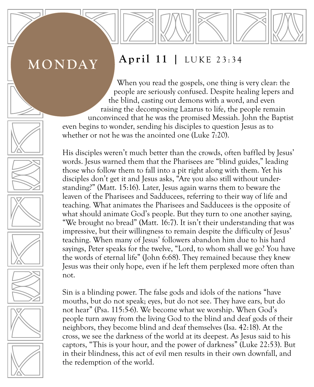## **MONDAY**

### **April 11 |** LUKE 23:34

When you read the gospels, one thing is very clear: the people are seriously confused. Despite healing lepers and the blind, casting out demons with a word, and even raising the decomposing Lazarus to life, the people remain unconvinced that he was the promised Messiah. John the Baptist even begins to wonder, sending his disciples to question Jesus as to whether or not he was the anointed one (Luke 7:20).

His disciples weren't much better than the crowds, often baffled by Jesus' words. Jesus warned them that the Pharisees are "blind guides," leading those who follow them to fall into a pit right along with them. Yet his disciples don't get it and Jesus asks, "Are you also still without understanding?" (Matt. 15:16). Later, Jesus again warns them to beware the leaven of the Pharisees and Sadducees, referring to their way of life and teaching. What animates the Pharisees and Sadducees is the opposite of what should animate God's people. But they turn to one another saying, "We brought no bread" (Matt. 16:7). It isn't their understanding that was impressive, but their willingness to remain despite the difficulty of Jesus' teaching. When many of Jesus' followers abandon him due to his hard sayings, Peter speaks for the twelve, "Lord, to whom shall we go? You have the words of eternal life" (John 6:68). They remained because they knew Jesus was their only hope, even if he left them perplexed more often than not.

Sin is a blinding power. The false gods and idols of the nations "have mouths, but do not speak; eyes, but do not see. They have ears, but do not hear" (Psa. 115:5-6). We become what we worship. When God's people turn away from the living God to the blind and deaf gods of their neighbors, they become blind and deaf themselves (Isa. 42:18). At the cross, we see the darkness of the world at its deepest. As Jesus said to his captors, "This is your hour, and the power of darkness" (Luke 22:53). But in their blindness, this act of evil men results in their own downfall, and the redemption of the world.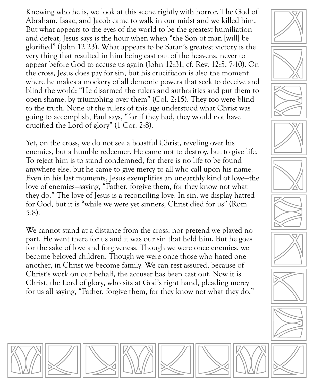Knowing who he is, we look at this scene rightly with horror. The God of Abraham, Isaac, and Jacob came to walk in our midst and we killed him. But what appears to the eyes of the world to be the greatest humiliation and defeat, Jesus says is the hour when when "the Son of man [will] be glorified" (John 12:23). What appears to be Satan's greatest victory is the very thing that resulted in him being cast out of the heavens, never to appear before God to accuse us again (John 12:31, cf. Rev. 12:5, 7-10). On the cross, Jesus does pay for sin, but his crucifixion is also the moment where he makes a mockery of all demonic powers that seek to deceive and blind the world: "He disarmed the rulers and authorities and put them to open shame, by triumphing over them" (Col. 2:15). They too were blind to the truth. None of the rulers of this age understood what Christ was going to accomplish, Paul says, "for if they had, they would not have crucified the Lord of glory" (1 Cor. 2:8).

Yet, on the cross, we do not see a boastful Christ, reveling over his enemies, but a humble redeemer. He came not to destroy, but to give life. To reject him is to stand condemned, for there is no life to be found anywhere else, but he came to give mercy to all who call upon his name. Even in his last moments, Jesus exemplifies an unearthly kind of love—the love of enemies—saying, "Father, forgive them, for they know not what they do." The love of Jesus is a reconciling love. In sin, we display hatred for God, but it is "while we were yet sinners, Christ died for us" (Rom. 5:8).

We cannot stand at a distance from the cross, nor pretend we played no part. He went there for us and it was our sin that held him. But he goes for the sake of love and forgiveness. Though we were once enemies, we become beloved children. Though we were once those who hated one another, in Christ we become family. We can rest assured, because of Christ's work on our behalf, the accuser has been cast out. Now it is Christ, the Lord of glory, who sits at God's right hand, pleading mercy for us all saying, "Father, forgive them, for they know not what they do."



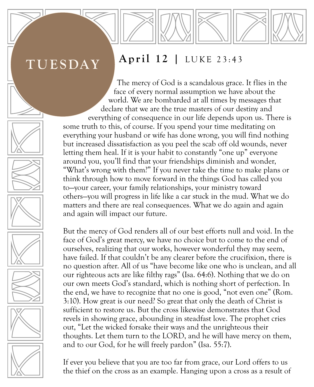# **TUESDAY**

#### **April 12 |** LUKE 23:43

The mercy of God is a scandalous grace. It flies in the face of every normal assumption we have about the world. We are bombarded at all times by messages that declare that we are the true masters of our destiny and everything of consequence in our life depends upon us. There is some truth to this, of course. If you spend your time meditating on everything your husband or wife has done wrong, you will find nothing but increased dissatisfaction as you peel the scab off old wounds, never letting them heal. If it is your habit to constantly "one up" everyone around you, you'll find that your friendships diminish and wonder, "What's wrong with them?" If you never take the time to make plans or think through how to move forward in the things God has called you to—your career, your family relationships, your ministry toward others—you will progress in life like a car stuck in the mud. What we do matters and there are real consequences. What we do again and again and again will impact our future.

But the mercy of God renders all of our best efforts null and void. In the face of God's great mercy, we have no choice but to come to the end of ourselves, realizing that our works, however wonderful they may seem, have failed. If that couldn't be any clearer before the crucifixion, there is no question after. All of us "have become like one who is unclean, and all our righteous acts are like filthy rags" (Isa. 64:6). Nothing that we do on our own meets God's standard, which is nothing short of perfection. In the end, we have to recognize that no one is good, "not even one" (Rom. 3:10). How great is our need? So great that only the death of Christ is sufficient to restore us. But the cross likewise demonstrates that God revels in showing grace, abounding in steadfast love. The prophet cries out, "Let the wicked forsake their ways and the unrighteous their thoughts. Let them turn to the LORD, and he will have mercy on them, and to our God, for he will freely pardon" (Isa. 55:7).

If ever you believe that you are too far from grace, our Lord offers to us the thief on the cross as an example. Hanging upon a cross as a result of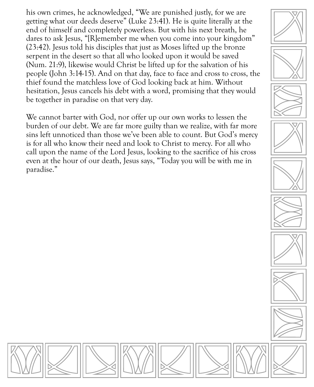his own crimes, he acknowledged, "We are punished justly, for we are getting what our deeds deserve" (Luke 23:41). He is quite literally at the end of himself and completely powerless. But with his next breath, he dares to ask Jesus, "[R]emember me when you come into your kingdom" (23:42). Jesus told his disciples that just as Moses lifted up the bronze serpent in the desert so that all who looked upon it would be saved (Num. 21:9), likewise would Christ be lifted up for the salvation of his people (John 3:14-15). And on that day, face to face and cross to cross, the thief found the matchless love of God looking back at him. Without hesitation, Jesus cancels his debt with a word, promising that they would be together in paradise on that very day.

We cannot barter with God, nor offer up our own works to lessen the burden of our debt. We are far more guilty than we realize, with far more sins left unnoticed than those we've been able to count. But God's mercy is for all who know their need and look to Christ to mercy. For all who call upon the name of the Lord Jesus, looking to the sacrifice of his cross even at the hour of our death, Jesus says, "Today you will be with me in paradise."



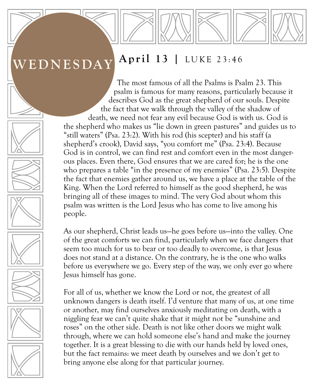#### **April 13 |** LUKE 23:46 **WEDNESDAY**

The most famous of all the Psalms is Psalm 23. This psalm is famous for many reasons, particularly because it describes God as the great shepherd of our souls. Despite the fact that we walk through the valley of the shadow of death, we need not fear any evil because God is with us. God is the shepherd who makes us "lie down in green pastures" and guides us to "still waters" (Psa. 23:2). With his rod (his scepter) and his staff (a shepherd's crook), David says, "you comfort me" (Psa. 23:4). Because God is in control, we can find rest and comfort even in the most dangerous places. Even there, God ensures that we are cared for; he is the one who prepares a table "in the presence of my enemies" (Psa. 23:5). Despite the fact that enemies gather around us, we have a place at the table of the King. When the Lord referred to himself as the good shepherd, he was bringing all of these images to mind. The very God about whom this psalm was written is the Lord Jesus who has come to live among his people.

As our shepherd, Christ leads us—he goes before us—into the valley. One of the great comforts we can find, particularly when we face dangers that seem too much for us to bear or too deadly to overcome, is that Jesus does not stand at a distance. On the contrary, he is the one who walks before us everywhere we go. Every step of the way, we only ever go where Jesus himself has gone.

For all of us, whether we know the Lord or not, the greatest of all unknown dangers is death itself. I'd venture that many of us, at one time or another, may find ourselves anxiously meditating on death, with a niggling fear we can't quite shake that it might not be "sunshine and roses" on the other side. Death is not like other doors we might walk through, where we can hold someone else's hand and make the journey together. It is a great blessing to die with our hands held by loved ones, but the fact remains: we meet death by ourselves and we don't get to bring anyone else along for that particular journey.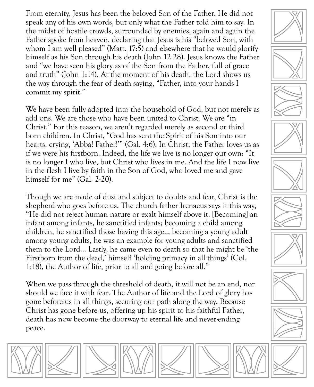From eternity, Jesus has been the beloved Son of the Father. He did not speak any of his own words, but only what the Father told him to say. In the midst of hostile crowds, surrounded by enemies, again and again the Father spoke from heaven, declaring that Jesus is his "beloved Son, with whom I am well pleased" (Matt. 17:5) and elsewhere that he would glorify himself as his Son through his death (John 12:28). Jesus knows the Father and "we have seen his glory as of the Son from the Father, full of grace and truth" (John 1:14). At the moment of his death, the Lord shows us the way through the fear of death saying, "Father, into your hands I commit my spirit."

We have been fully adopted into the household of God, but not merely as add ons. We are those who have been united to Christ. We are "in Christ." For this reason, we aren't regarded merely as second or third born children. In Christ, "God has sent the Spirit of his Son into our hearts, crying, 'Abba! Father!'" (Gal. 4:6). In Christ, the Father loves us as if we were his firstborn. Indeed, the life we live is no longer our own: "It is no longer I who live, but Christ who lives in me. And the life I now live in the flesh I live by faith in the Son of God, who loved me and gave himself for me" (Gal. 2:20).

Though we are made of dust and subject to doubts and fear, Christ is the shepherd who goes before us. The church father Irenaeus says it this way, "He did not reject human nature or exalt himself above it. [Becoming] an infant among infants, he sanctified infants; becoming a child among children, he sanctified those having this age… becoming a young adult among young adults, he was an example for young adults and sanctified them to the Lord… Lastly, he came even to death so that he might be 'the Firstborn from the dead,' himself 'holding primacy in all things' (Col. 1:18), the Author of life, prior to all and going before all."

When we pass through the threshold of death, it will not be an end, nor should we face it with fear. The Author of life and the Lord of glory has gone before us in all things, securing our path along the way. Because Christ has gone before us, offering up his spirit to his faithful Father, death has now become the doorway to eternal life and never-ending peace.

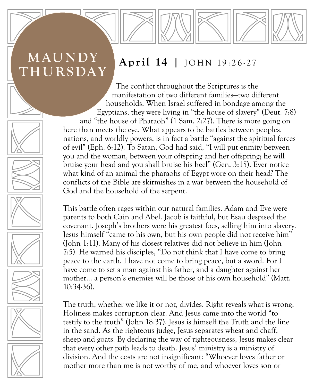# **MAUNDY THURSDAY**

#### **April 14 |** JOHN 19:26-27

The conflict throughout the Scriptures is the manifestation of two different families—two different households. When Israel suffered in bondage among the Egyptians, they were living in "the house of slavery" (Deut. 7:8) and "the house of Pharaoh" (1 Sam. 2:27). There is more going on here than meets the eye. What appears to be battles between peoples, nations, and worldly powers, is in fact a battle "against the spiritual forces of evil" (Eph. 6:12). To Satan, God had said, "I will put enmity between you and the woman, between your offspring and her offspring; he will bruise your head and you shall bruise his heel" (Gen. 3:15). Ever notice what kind of an animal the pharaohs of Egypt wore on their head? The conflicts of the Bible are skirmishes in a war between the household of God and the household of the serpent.

This battle often rages within our natural families. Adam and Eve were parents to both Cain and Abel. Jacob is faithful, but Esau despised the covenant. Joseph's brothers were his greatest foes, selling him into slavery. Jesus himself "came to his own, but his own people did not receive him" (John 1:11). Many of his closest relatives did not believe in him (John 7:5). He warned his disciples, "Do not think that I have come to bring peace to the earth. I have not come to bring peace, but a sword. For I have come to set a man against his father, and a daughter against her mother… a person's enemies will be those of his own household" (Matt. 10:34-36).

The truth, whether we like it or not, divides. Right reveals what is wrong. Holiness makes corruption clear. And Jesus came into the world "to testify to the truth" (John 18:37). Jesus is himself the Truth and the line in the sand. As the righteous judge, Jesus separates wheat and chaff, sheep and goats. By declaring the way of righteousness, Jesus makes clear that every other path leads to death. Jesus' ministry is a ministry of division. And the costs are not insignificant: "Whoever loves father or mother more than me is not worthy of me, and whoever loves son or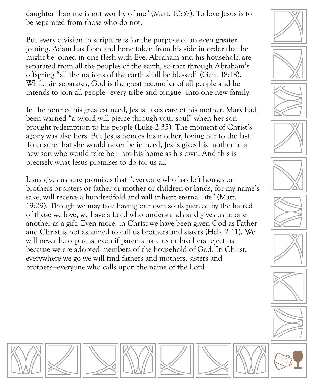daughter than me is not worthy of me" (Matt. 10:37). To love Jesus is to be separated from those who do not.

But every division in scripture is for the purpose of an even greater joining. Adam has flesh and bone taken from his side in order that he might be joined in one flesh with Eve. Abraham and his household are separated from all the peoples of the earth, so that through Abraham's offspring "all the nations of the earth shall be blessed" (Gen. 18:18). While sin separates, God is the great reconciler of all people and he intends to join all people—every tribe and tongue—into one new family.

In the hour of his greatest need, Jesus takes care of his mother. Mary had been warned "a sword will pierce through your soul" when her son brought redemption to his people (Luke 2:35). The moment of Christ's agony was also hers. But Jesus honors his mother, loving her to the last. To ensure that she would never be in need, Jesus gives his mother to a new son who would take her into his home as his own. And this is precisely what Jesus promises to do for us all.

Jesus gives us sure promises that "everyone who has left houses or brothers or sisters or father or mother or children or lands, for my name's sake, will receive a hundredfold and will inherit eternal life" (Matt. 19:29). Though we may face having our own souls pierced by the hatred of those we love, we have a Lord who understands and gives us to one another as a gift. Even more, in Christ we have been given God as Father and Christ is not ashamed to call us brothers and sisters (Heb. 2:11). We will never be orphans, even if parents hate us or brothers reject us, because we are adopted members of the household of God. In Christ, everywhere we go we will find fathers and mothers, sisters and brothers—everyone who calls upon the name of the Lord.





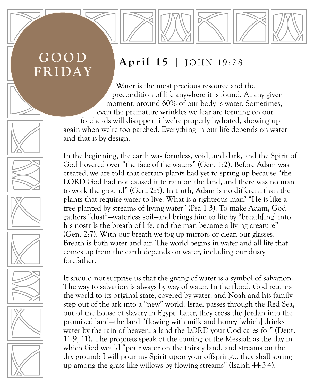# **GOOD FRIDAY**

## **April 15 |** JOHN 19:28

Water is the most precious resource and the precondition of life anywhere it is found. At any given moment, around 60% of our body is water. Sometimes, even the premature wrinkles we fear are forming on our foreheads will disappear if we're properly hydrated, showing up again when we're too parched. Everything in our life depends on water and that is by design.

In the beginning, the earth was formless, void, and dark, and the Spirit of God hovered over "the face of the waters" (Gen. 1:2). Before Adam was created, we are told that certain plants had yet to spring up because "the LORD God had not caused it to rain on the land, and there was no man to work the ground" (Gen. 2:5). In truth, Adam is no different than the plants that require water to live. What is a righteous man? "He is like a tree planted by streams of living water" (Psa 1:3). To make Adam, God gathers "dust"—waterless soil—and brings him to life by "breath[ing] into his nostrils the breath of life, and the man became a living creature" (Gen. 2:7). With our breath we fog up mirrors or clean our glasses. Breath is both water and air. The world begins in water and all life that comes up from the earth depends on water, including our dusty forefather.

It should not surprise us that the giving of water is a symbol of salvation. The way to salvation is always by way of water. In the flood, God returns the world to its original state, covered by water, and Noah and his family step out of the ark into a "new" world. Israel passes through the Red Sea, out of the house of slavery in Egypt. Later, they cross the Jordan into the promised land—the land "flowing with milk and honey [which] drinks water by the rain of heaven, a land the LORD your God cares for" (Deut. 11:9, 11). The prophets speak of the coming of the Messiah as the day in which God would "pour water on the thirsty land, and streams on the dry ground; I will pour my Spirit upon your offspring… they shall spring up among the grass like willows by flowing streams" (Isaiah 44:3-4).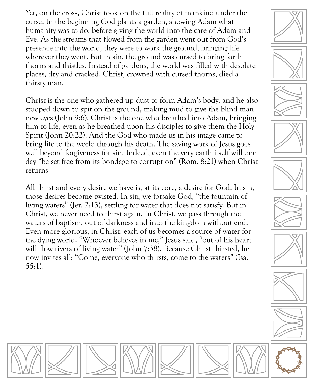Yet, on the cross, Christ took on the full reality of mankind under the curse. In the beginning God plants a garden, showing Adam what humanity was to do, before giving the world into the care of Adam and Eve. As the streams that flowed from the garden went out from God's presence into the world, they were to work the ground, bringing life wherever they went. But in sin, the ground was cursed to bring forth thorns and thistles. Instead of gardens, the world was filled with desolate places, dry and cracked. Christ, crowned with cursed thorns, died a thirsty man.

Christ is the one who gathered up dust to form Adam's body, and he also stooped down to spit on the ground, making mud to give the blind man new eyes (John 9:6). Christ is the one who breathed into Adam, bringing him to life, even as he breathed upon his disciples to give them the Holy Spirit (John 20:22). And the God who made us in his image came to bring life to the world through his death. The saving work of Jesus goes well beyond forgiveness for sin. Indeed, even the very earth itself will one day "be set free from its bondage to corruption" (Rom. 8:21) when Christ returns.

All thirst and every desire we have is, at its core, a desire for God. In sin, those desires become twisted. In sin, we forsake God, "the fountain of living waters" (Jer. 2:13), settling for water that does not satisfy. But in Christ, we never need to thirst again. In Christ, we pass through the waters of baptism, out of darkness and into the kingdom without end. Even more glorious, in Christ, each of us becomes a source of water for the dying world. "Whoever believes in me," Jesus said, "out of his heart will flow rivers of living water" (John 7:38). Because Christ thirsted, he now invites all: "Come, everyone who thirsts, come to the waters" (Isa. 55:1).



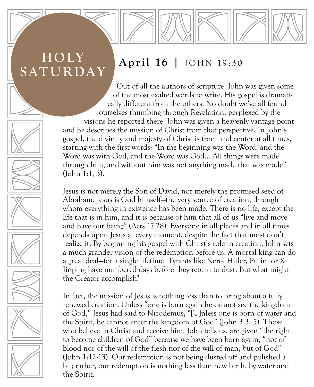# **HOLY SATURDAY**

### **April 16 |** JOHN 19:30

Out of all the authors of scripture, John was given some of the most exalted words to write. His gospel is dramatically different from the others. No doubt we've all found ourselves thumbing through Revelation, perplexed by the visions he reported there. John was given a heavenly vantage point and he describes the mission of Christ from that perspective. In John's gospel, the divinity and majesty of Christ is front and center at all times, starting with the first words: "In the beginning was the Word, and the Word was with God, and the Word was God… All things were made through him, and without him was not anything made that was made" (John 1:1, 3).

Jesus is not merely the Son of David, nor merely the promised seed of Abraham. Jesus is God himself—the very source of creation, through whom everything in existence has been made. There is no life, except the life that is in him, and it is because of him that all of us "live and move and have our being" (Acts 17:28). Everyone in all places and in all times depends upon Jesus at every moment, despite the fact that most don't realize it. By beginning his gospel with Christ's role in creation, John sets a much grander vision of the redemption before us. A mortal king can do a great deal—for a single lifetime. Tyrants like Nero, Hitler, Putin, or Xi Jinping have numbered days before they return to dust. But what might the Creator accomplish?

In fact, the mission of Jesus is nothing less than to bring about a fully renewed creation. Unless "one is born again he cannot see the kingdom of God," Jesus had said to Nicodemus, "[U]nless one is born of water and the Spirit, he cannot enter the kingdom of God" (John 3:3, 5). Those who believe in Christ and receive him, John tells us, are given "the right to become children of God" because we have been born again, "not of blood nor of the will of the flesh nor of the will of man, but of God" (John 1:12-13). Our redemption is not being dusted off and polished a bit; rather, our redemption is nothing less than new birth, by water and the Spirit.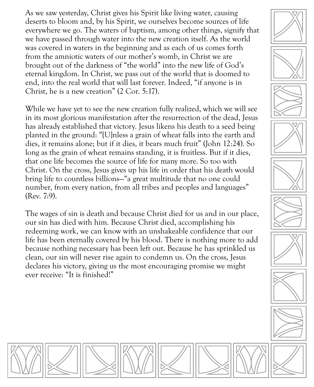As we saw yesterday, Christ gives his Spirit like living water, causing deserts to bloom and, by his Spirit, we ourselves become sources of life everywhere we go. The waters of baptism, among other things, signify that we have passed through water into the new creation itself. As the world was covered in waters in the beginning and as each of us comes forth from the amniotic waters of our mother's womb, in Christ we are brought out of the darkness of "the world" into the new life of God's eternal kingdom. In Christ, we pass out of the world that is doomed to end, into the real world that will last forever. Indeed, "if anyone is in Christ, he is a new creation" (2 Cor. 5:17).

While we have yet to see the new creation fully realized, which we will see in its most glorious manifestation after the resurrection of the dead, Jesus has already established that victory. Jesus likens his death to a seed being planted in the ground: "[U]nless a grain of wheat falls into the earth and dies, it remains alone; but if it dies, it bears much fruit" (John 12:24). So long as the grain of wheat remains standing, it is fruitless. But if it dies, that one life becomes the source of life for many more. So too with Christ. On the cross, Jesus gives up his life in order that his death would bring life to countless billions—"a great multitude that no one could number, from every nation, from all tribes and peoples and languages" (Rev. 7:9).

The wages of sin is death and because Christ died for us and in our place, our sin has died with him. Because Christ died, accomplishing his redeeming work, we can know with an unshakeable confidence that our life has been eternally covered by his blood. There is nothing more to add because nothing necessary has been left out. Because he has sprinkled us clean, our sin will never rise again to condemn us. On the cross, Jesus declares his victory, giving us the most encouraging promise we might ever receive: "It is finished!"



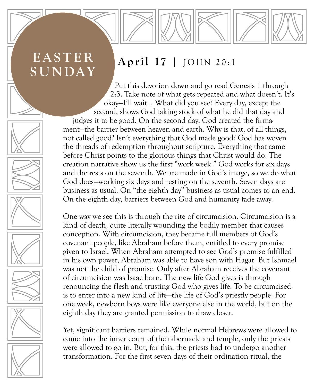# **EASTER SUNDAY**

### **April 17 |** JOHN 20:1

Put this devotion down and go read Genesis 1 through 2:3. Take note of what gets repeated and what doesn't. It's okay—I'll wait… What did you see? Every day, except the second, shows God taking stock of what he did that day and judges it to be good. On the second day, God created the firmament—the barrier between heaven and earth. Why is that, of all things, not called good? Isn't everything that God made good? God has woven the threads of redemption throughout scripture. Everything that came before Christ points to the glorious things that Christ would do. The creation narrative show us the first "work week." God works for six days and the rests on the seventh. We are made in God's image, so we do what God does—working six days and resting on the seventh. Seven days are business as usual. On "the eighth day" business as usual comes to an end. On the eighth day, barriers between God and humanity fade away.

One way we see this is through the rite of circumcision. Circumcision is a kind of death, quite literally wounding the bodily member that causes conception. With circumcision, they became full members of God's covenant people, like Abraham before them, entitled to every promise given to Israel. When Abraham attempted to see God's promise fulfilled in his own power, Abraham was able to have son with Hagar. But Ishmael was not the child of promise. Only after Abraham receives the covenant of circumcision was Isaac born. The new life God gives is through renouncing the flesh and trusting God who gives life. To be circumcised is to enter into a new kind of life—the life of God's priestly people. For one week, newborn boys were like everyone else in the world, but on the eighth day they are granted permission to draw closer.

Yet, significant barriers remained. While normal Hebrews were allowed to come into the inner court of the tabernacle and temple, only the priests were allowed to go in. But, for this, the priests had to undergo another transformation. For the first seven days of their ordination ritual, the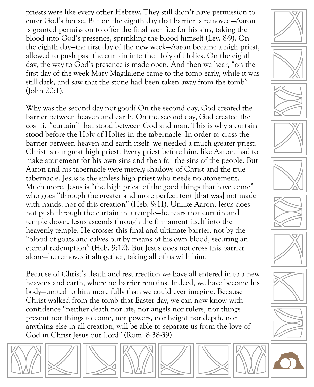priests were like every other Hebrew. They still didn't have permission to enter God's house. But on the eighth day that barrier is removed—Aaron is granted permission to offer the final sacrifice for his sins, taking the blood into God's presence, sprinkling the blood himself (Lev. 8-9). On the eighth day—the first day of the new week—Aaron became a high priest, allowed to push past the curtain into the Holy of Holies. On the eighth day, the way to God's presence is made open. And then we hear, "on the first day of the week Mary Magdalene came to the tomb early, while it was still dark, and saw that the stone had been taken away from the tomb" (John 20:1).

Why was the second day not good? On the second day, God created the barrier between heaven and earth. On the second day, God created the cosmic "curtain" that stood between God and man. This is why a curtain stood before the Holy of Holies in the tabernacle. In order to cross the barrier between heaven and earth itself, we needed a much greater priest. Christ is our great high priest. Every priest before him, like Aaron, had to make atonement for his own sins and then for the sins of the people. But Aaron and his tabernacle were merely shadows of Christ and the true tabernacle. Jesus is the sinless high priest who needs no atonement. Much more, Jesus is "the high priest of the good things that have come" who goes "through the greater and more perfect tent [that was] not made with hands, not of this creation" (Heb. 9:11). Unlike Aaron, Jesus does not push through the curtain in a temple—he tears that curtain and temple down. Jesus ascends through the firmament itself into the heavenly temple. He crosses this final and ultimate barrier, not by the "blood of goats and calves but by means of his own blood, securing an eternal redemption" (Heb. 9:12). But Jesus does not cross this barrier alone—he removes it altogether, taking all of us with him.

Because of Christ's death and resurrection we have all entered in to a new heavens and earth, where no barrier remains. Indeed, we have become his body—united to him more fully than we could ever imagine. Because Christ walked from the tomb that Easter day, we can now know with confidence "neither death nor life, nor angels nor rulers, nor things present nor things to come, nor powers, nor height nor depth, nor anything else in all creation, will be able to separate us from the love of God in Christ Jesus our Lord" (Rom. 8:38-39).